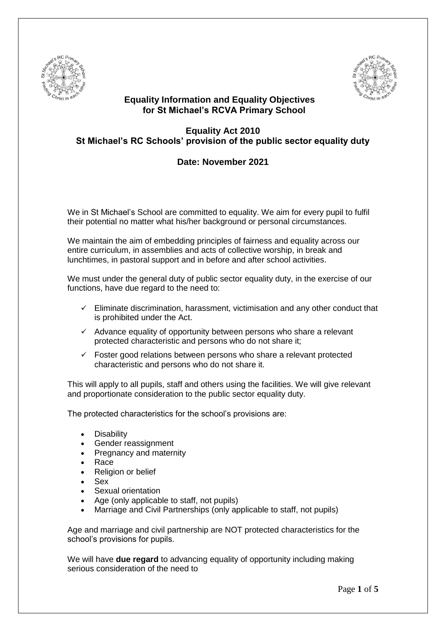



## **Equality Information and Equality Objectives for St Michael's RCVA Primary School**

# **Equality Act 2010 St Michael's RC Schools' provision of the public sector equality duty**

# **Date: November 2021**

We in St Michael's School are committed to equality. We aim for every pupil to fulfil their potential no matter what his/her background or personal circumstances.

We maintain the aim of embedding principles of fairness and equality across our entire curriculum, in assemblies and acts of collective worship, in break and lunchtimes, in pastoral support and in before and after school activities.

We must under the general duty of public sector equality duty, in the exercise of our functions, have due regard to the need to:

- $\checkmark$  Eliminate discrimination, harassment, victimisation and any other conduct that is prohibited under the Act.
- $\checkmark$  Advance equality of opportunity between persons who share a relevant protected characteristic and persons who do not share it;
- $\checkmark$  Foster good relations between persons who share a relevant protected characteristic and persons who do not share it.

This will apply to all pupils, staff and others using the facilities. We will give relevant and proportionate consideration to the public sector equality duty.

The protected characteristics for the school's provisions are:

- **Disability**
- Gender reassignment
- Pregnancy and maternity
- Race
- Religion or belief
- Sex
- Sexual orientation
- Age (only applicable to staff, not pupils)
- Marriage and Civil Partnerships (only applicable to staff, not pupils)

Age and marriage and civil partnership are NOT protected characteristics for the school's provisions for pupils.

We will have **due regard** to advancing equality of opportunity including making serious consideration of the need to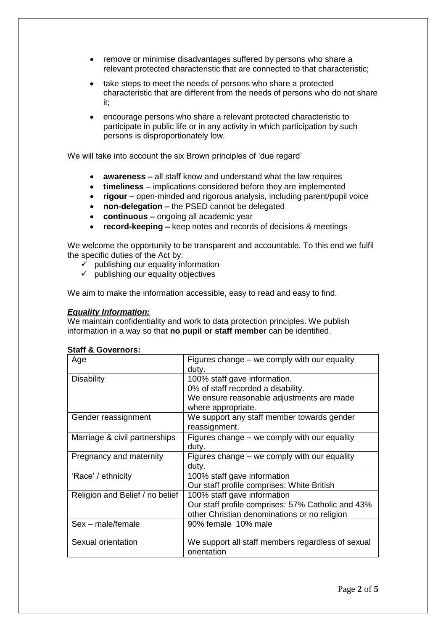- remove or minimise disadvantages suffered by persons who share a relevant protected characteristic that are connected to that characteristic;
- take steps to meet the needs of persons who share a protected characteristic that are different from the needs of persons who do not share it;
- encourage persons who share a relevant protected characteristic to participate in public life or in any activity in which participation by such persons is disproportionately low.

We will take into account the six Brown principles of 'due regard'

- **awareness –** all staff know and understand what the law requires
- **timeliness**  implications considered before they are implemented
- **rigour –** open-minded and rigorous analysis, including parent/pupil voice
- **non-delegation –** the PSED cannot be delegated
- **continuous –** ongoing all academic year
- **record-keeping –** keep notes and records of decisions & meetings

We welcome the opportunity to be transparent and accountable. To this end we fulfil the specific duties of the Act by:

- $\checkmark$  publishing our equality information
- $\checkmark$  publishing our equality objectives

We aim to make the information accessible, easy to read and easy to find.

### *Equality Information:*

We maintain confidentiality and work to data protection principles. We publish information in a way so that **no pupil or staff member** can be identified.

| Age                             | Figures change – we comply with our equality<br>duty. |
|---------------------------------|-------------------------------------------------------|
| <b>Disability</b>               | 100% staff gave information.                          |
|                                 | 0% of staff recorded a disability.                    |
|                                 | We ensure reasonable adjustments are made             |
|                                 | where appropriate.                                    |
| Gender reassignment             | We support any staff member towards gender            |
|                                 | reassignment.                                         |
| Marriage & civil partnerships   | Figures change – we comply with our equality          |
|                                 | duty.                                                 |
| Pregnancy and maternity         | Figures change – we comply with our equality          |
|                                 | duty.                                                 |
| 'Race' / ethnicity              | 100% staff gave information                           |
|                                 | Our staff profile comprises: White British            |
| Religion and Belief / no belief | 100% staff gave information                           |
|                                 | Our staff profile comprises: 57% Catholic and 43%     |
|                                 | other Christian denominations or no religion          |
| Sex - male/female               | 90% female 10% male                                   |
| Sexual orientation              | We support all staff members regardless of sexual     |
|                                 | orientation                                           |

#### **Staff & Governors:**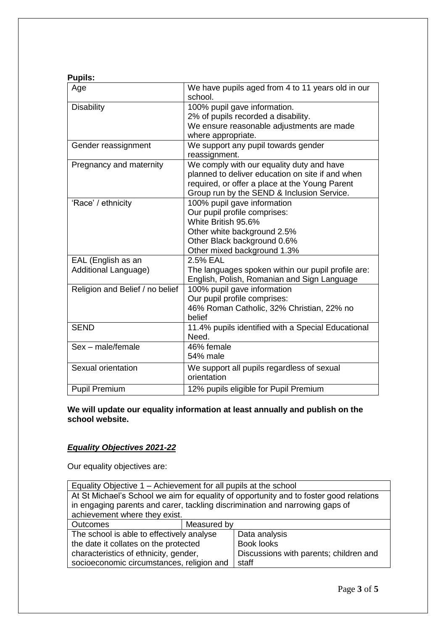## **Pupils:**

| Age                                        | We have pupils aged from 4 to 11 years old in our<br>school.                                                                                                                                  |
|--------------------------------------------|-----------------------------------------------------------------------------------------------------------------------------------------------------------------------------------------------|
| <b>Disability</b>                          | 100% pupil gave information.<br>2% of pupils recorded a disability.<br>We ensure reasonable adjustments are made<br>where appropriate.                                                        |
| Gender reassignment                        | We support any pupil towards gender<br>reassignment.                                                                                                                                          |
| Pregnancy and maternity                    | We comply with our equality duty and have<br>planned to deliver education on site if and when<br>required, or offer a place at the Young Parent<br>Group run by the SEND & Inclusion Service. |
| 'Race' / ethnicity                         | 100% pupil gave information<br>Our pupil profile comprises:<br>White British 95.6%<br>Other white background 2.5%<br>Other Black background 0.6%<br>Other mixed background 1.3%               |
| EAL (English as an<br>Additional Language) | 2.5% EAL<br>The languages spoken within our pupil profile are:<br>English, Polish, Romanian and Sign Language                                                                                 |
| Religion and Belief / no belief            | 100% pupil gave information<br>Our pupil profile comprises:<br>46% Roman Catholic, 32% Christian, 22% no<br>belief                                                                            |
| <b>SEND</b>                                | 11.4% pupils identified with a Special Educational<br>Need.                                                                                                                                   |
| Sex - male/female                          | 46% female<br>54% male                                                                                                                                                                        |
| Sexual orientation                         | We support all pupils regardless of sexual<br>orientation                                                                                                                                     |
| <b>Pupil Premium</b>                       | 12% pupils eligible for Pupil Premium                                                                                                                                                         |

## **We will update our equality information at least annually and publish on the school website.**

# *Equality Objectives 2021-22*

Our equality objectives are:

| Equality Objective 1 – Achievement for all pupils at the school                        |             |                                        |  |  |  |
|----------------------------------------------------------------------------------------|-------------|----------------------------------------|--|--|--|
| At St Michael's School we aim for equality of opportunity and to foster good relations |             |                                        |  |  |  |
| in engaging parents and carer, tackling discrimination and narrowing gaps of           |             |                                        |  |  |  |
| achievement where they exist.                                                          |             |                                        |  |  |  |
| Outcomes                                                                               | Measured by |                                        |  |  |  |
| The school is able to effectively analyse                                              |             | Data analysis                          |  |  |  |
| the date it collates on the protected                                                  |             | <b>Book looks</b>                      |  |  |  |
| characteristics of ethnicity, gender,                                                  |             | Discussions with parents; children and |  |  |  |
| socioeconomic circumstances, religion and                                              |             | staff                                  |  |  |  |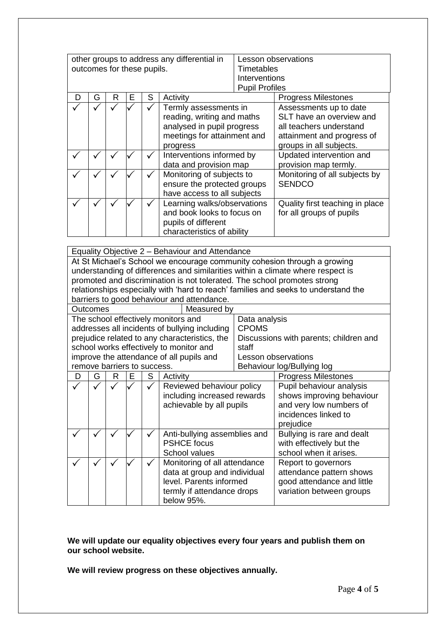| other groups to address any differential in<br>outcomes for these pupils. |   |   |   |   |                                                                                                                              | Timetables<br>Interventions<br><b>Pupil Profiles</b> | Lesson observations                                                                                                                    |
|---------------------------------------------------------------------------|---|---|---|---|------------------------------------------------------------------------------------------------------------------------------|------------------------------------------------------|----------------------------------------------------------------------------------------------------------------------------------------|
| Ð                                                                         | G | R | Е | S | Activity                                                                                                                     |                                                      | <b>Progress Milestones</b>                                                                                                             |
|                                                                           |   |   |   |   | Termly assessments in<br>reading, writing and maths<br>analysed in pupil progress<br>meetings for attainment and<br>progress |                                                      | Assessments up to date<br>SLT have an overview and<br>all teachers understand<br>attainment and progress of<br>groups in all subjects. |
|                                                                           |   |   |   |   | Interventions informed by<br>data and provision map                                                                          |                                                      | Updated intervention and<br>provision map termly.                                                                                      |
|                                                                           |   |   |   |   | Monitoring of subjects to<br>ensure the protected groups<br>have access to all subjects                                      |                                                      | Monitoring of all subjects by<br><b>SENDCO</b>                                                                                         |
|                                                                           |   |   |   |   | Learning walks/observations<br>and book looks to focus on<br>pupils of different<br>characteristics of ability               |                                                      | Quality first teaching in place<br>for all groups of pupils                                                                            |

|                                          | Equality Objective 2 - Behaviour and Attendance                                 |   |   |    |                                                                          |                            |                                                                                    |
|------------------------------------------|---------------------------------------------------------------------------------|---|---|----|--------------------------------------------------------------------------|----------------------------|------------------------------------------------------------------------------------|
|                                          |                                                                                 |   |   |    |                                                                          |                            | At St Michael's School we encourage community cohesion through a growing           |
|                                          | understanding of differences and similarities within a climate where respect is |   |   |    |                                                                          |                            |                                                                                    |
|                                          |                                                                                 |   |   |    | promoted and discrimination is not tolerated. The school promotes strong |                            |                                                                                    |
|                                          |                                                                                 |   |   |    |                                                                          |                            | relationships especially with 'hard to reach' families and seeks to understand the |
|                                          |                                                                                 |   |   |    | barriers to good behaviour and attendance.                               |                            |                                                                                    |
| <b>Outcomes</b>                          |                                                                                 |   |   |    | Measured by                                                              |                            |                                                                                    |
|                                          |                                                                                 |   |   |    | The school effectively monitors and                                      | Data analysis              |                                                                                    |
|                                          |                                                                                 |   |   |    | addresses all incidents of bullying including                            | <b>CPOMS</b>               |                                                                                    |
|                                          |                                                                                 |   |   |    | prejudice related to any characteristics, the                            |                            | Discussions with parents; children and                                             |
|                                          |                                                                                 |   |   |    | school works effectively to monitor and                                  | staff                      |                                                                                    |
| improve the attendance of all pupils and |                                                                                 |   |   |    |                                                                          | Lesson observations        |                                                                                    |
| remove barriers to success.              |                                                                                 |   |   |    |                                                                          | Behaviour log/Bullying log |                                                                                    |
| D                                        | G                                                                               | R | Ε | S. | Activity                                                                 |                            | <b>Progress Milestones</b>                                                         |
|                                          |                                                                                 |   |   |    | Reviewed behaviour policy                                                |                            | Pupil behaviour analysis                                                           |
|                                          |                                                                                 |   |   |    | including increased rewards                                              |                            | shows improving behaviour                                                          |
|                                          |                                                                                 |   |   |    | achievable by all pupils                                                 |                            | and very low numbers of                                                            |
|                                          |                                                                                 |   |   |    | incidences linked to                                                     |                            |                                                                                    |
|                                          |                                                                                 |   |   |    |                                                                          |                            | prejudice                                                                          |
|                                          |                                                                                 |   |   |    | Anti-bullying assemblies and                                             |                            | Bullying is rare and dealt                                                         |
|                                          |                                                                                 |   |   |    | <b>PSHCE</b> focus<br>with effectively but the                           |                            |                                                                                    |
|                                          |                                                                                 |   |   |    | school when it arises.<br>School values                                  |                            |                                                                                    |
|                                          |                                                                                 |   |   |    | Monitoring of all attendance<br>Report to governors                      |                            |                                                                                    |
|                                          |                                                                                 |   |   |    | data at group and individual<br>attendance pattern shows                 |                            |                                                                                    |
|                                          |                                                                                 |   |   |    | level. Parents informed                                                  |                            | good attendance and little                                                         |
|                                          |                                                                                 |   |   |    | termly if attendance drops                                               |                            | variation between groups                                                           |
|                                          |                                                                                 |   |   |    | below 95%.                                                               |                            |                                                                                    |

**We will update our equality objectives every four years and publish them on our school website.** 

**We will review progress on these objectives annually.**